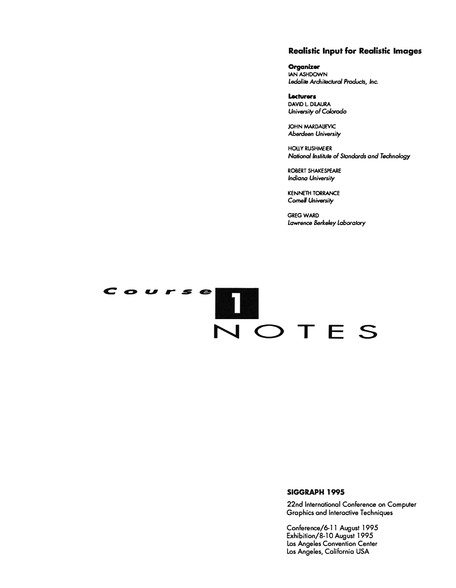#### **Realistic Input for Realistic Images**

Organizer IAN ASHDOWN Ledalite Architectural Products, Inc.

Lecturers **DAVID L. DILAURA** University of Colorodo

**JOHN MARDAILEVIC** Aberdeen University

**HOLLY RUSHMEIER** National Institute of Standards and Technology

ROBERT SHAKESPEARE **Indiana University** 

**KENNETH TORRANCE Cornell University** 

**GREG WARD** Lawrence Berkeley Laboratory

# $\begin{array}{c} \n\text{course} \\
\hline\n\text{N} \text{O} \text{TE} \text{S}\n\end{array}$

#### SIGGRAPH 1995

22nd International Conference on Computer **Graphics and Interactive Techniques** 

Conference/6-11 August 1995 Exhibition/8-10 August 1995 Los Angeles Convention Center Los Angeles, California USA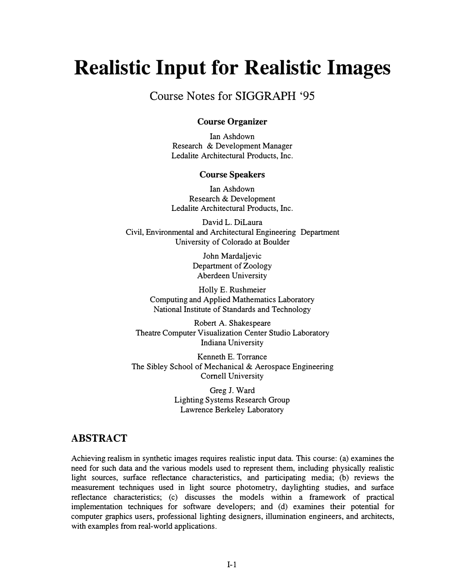# **Realistic Input for Realistic Images**

# Course Notes for SIGGRAPH '95

# **Course Organizer**

Ian Ashdown Research & Development Manager Ledalite Architectural Products, Inc.

#### **Course Speakers**

Ian Ashdown Research & Development Ledalite Architectural Products, Inc.

David L. DiLaura Civil, Environmental and Architectural Engineering Department University of Colorado at Boulder

> John Mardaljevic Department of Zoology Aberdeen University

Holly E. Rushmeier Computing and Applied Mathematics Laboratory National Institute of Standards and Technology

Robert A. Shakespeare Theatre Computer Visualization Center Studio Laboratory Indiana University

Kenneth E. Torrance The Sibley School of Mechanical & Aerospace Engineering Cornell University

> GregJ. Ward Lighting Systems Research Group Lawrence Berkeley Laboratory

# **ABSTRACT**

Achieving realism in synthetic images requires realistic input data. This course: (a) examines the need for such data and the various models used to represent them, including physically realistic light sources, surface reflectance characteristics, and participating media; (b) reviews the measurement techniques used in light source photometry, daylighting studies, and surface reflectance characteristics; (c) discusses the models within a framework of practical implementation techniques for software developers; and (d) examines their potential for computer graphics users, professional lighting designers, illumination engineers, and architects, with examples from real-world applications.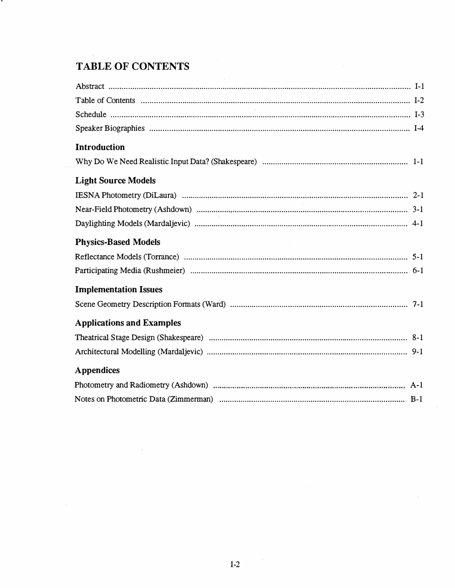# **TABLE OF CONTENTS**

| <b>Introduction</b>              |  |
|----------------------------------|--|
|                                  |  |
| <b>Light Source Models</b>       |  |
|                                  |  |
|                                  |  |
|                                  |  |
| <b>Physics-Based Models</b>      |  |
|                                  |  |
|                                  |  |
| <b>Implementation Issues</b>     |  |
|                                  |  |
| <b>Applications and Examples</b> |  |
|                                  |  |
|                                  |  |
| <b>Appendices</b>                |  |
|                                  |  |
|                                  |  |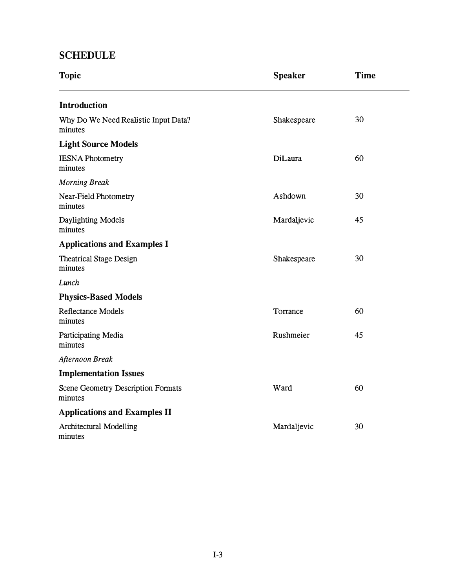# **SCHEDULE**

| <b>Topic</b>                                    | <b>Speaker</b> | <b>Time</b> |
|-------------------------------------------------|----------------|-------------|
| <b>Introduction</b>                             |                |             |
| Why Do We Need Realistic Input Data?<br>minutes | Shakespeare    | 30          |
| <b>Light Source Models</b>                      |                |             |
| <b>IESNA Photometry</b><br>minutes              | DiLaura        | 60          |
| <b>Morning Break</b>                            |                |             |
| Near-Field Photometry<br>minutes                | Ashdown        | 30          |
| Daylighting Models<br>minutes                   | Mardaljevic    | 45          |
| <b>Applications and Examples I</b>              |                |             |
| <b>Theatrical Stage Design</b><br>minutes       | Shakespeare    | 30          |
| Lunch                                           |                |             |
| <b>Physics-Based Models</b>                     |                |             |
| <b>Reflectance Models</b><br>minutes            | Torrance       | 60          |
| Participating Media<br>minutes                  | Rushmeier      | 45          |
| Afternoon Break                                 |                |             |
| <b>Implementation Issues</b>                    |                |             |
| Scene Geometry Description Formats<br>minutes   | Ward           | 60          |
| <b>Applications and Examples II</b>             |                |             |
| Architectural Modelling<br>minutes              | Mardaljevic    | 30          |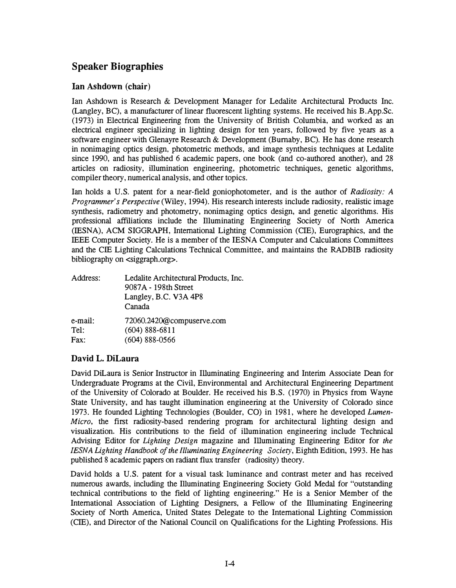# **Speaker Biographies**

# **Ian Ashdown (chair)**

Ian Ashdown is Research & Development Manager for Ledalite Architectural Products Inc. (Langley, BC), a manufacturer of linear fluorescent lighting systems. He received his B.App.Sc. (1973) in Electrical Engineering from the University of British Columbia, and worked as an electrical engineer specializing in lighting design for ten years, followed by five years as a software engineer with Glenayre Research & Development (Burnaby, BC). He has done research in nonimaging optics design, photometric methods, and image synthesis techniques at Ledalite since 1990, and has published 6 academic papers, one book (and co-authored another), and 28 articles on radiosity, illumination engineering, photometric techniques, genetic algorithms, compiler theory, numerical analysis, and other topics.

Ian holds a U.S. patent for a near-field goniophotometer, and is the author of *Radiosity: A Programmer's Perspective* (Wiley, 1994). His research interests include radiosity, realistic image synthesis, radiometry and photometry, nonimaging optics design, and genetic algorithms. His professional affiliations include the Illuminating Engineering Society of North America (!ESNA), ACM SIGGRAPH, International Lighting Commission (CIE), Eurographics, and the IEEE Computer Society. He is a member of the !ESNA Computer and Calculations Committees and the CIE Lighting Calculations Technical Committee, and maintains the RADBIB radiosity bibliography on <siggraph.org>.

| Address: | Ledalite Architectural Products, Inc.<br>9087A - 198th Street<br>Langley, B.C. V3A 4P8<br>Canada |
|----------|--------------------------------------------------------------------------------------------------|
| e-mail:  | 72060.2420@compuserve.com                                                                        |
| Tel:     | $(604) 888 - 6811$                                                                               |
| Fax:     | $(604)$ 888-0566                                                                                 |

# **David L. DiLaura**

David DiLaura is Senior Instructor in Illuminating Engineering and Interim Associate Dean for Undergraduate Programs at the Civil, Environmental and Architectural Engineering Department of the University of Colorado at Boulder. He received his B.S. (1970) in Physics from Wayne State University, and has taught illumination engineering at the University of Colorado since 1973. He founded Lighting Technologies (Boulder, CO) in 1981, where he developed *Lumen-Micro,* the first radiosity-based rendering program for architectural lighting design and visualization. His contributions to the field of illumination engineering include Technical Advising Editor for *Lighting Design* magazine and Illuminating Engineering Editor for *the IESNA Lighting Handbook of the Illuminating Engineering Society, Eighth Edition, 1993. He has* published 8 academic papers on radiant flux transfer (radiosity) theory.

David holds a U.S. patent for a visual task luminance and contrast meter and has received numerous awards, including the Illuminating Engineering Society Gold Medal for "outstanding technical contributions to the field of lighting engineering." He is a Senior Member of the International Association of Lighting Designers, a Fellow of the Illuminating Engineering Society of North America, United States Delegate to the International Lighting Commission (CIE), and Director of the National Council on Qualifications for the Lighting Professions. His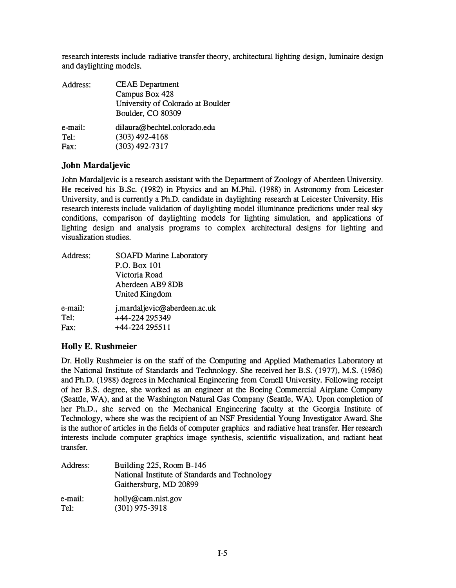research interests include radiative transfer theory, architectural lighting design, luminaire design and daylighting models.

| Address:        | <b>CEAE</b> Department<br>Campus Box 428<br>University of Colorado at Boulder<br>Boulder, CO 80309 |
|-----------------|----------------------------------------------------------------------------------------------------|
| e-mail:<br>Tel: | dilaura@bechtel.colorado.edu<br>$(303)$ 492-4168                                                   |
| Fax:            | $(303)$ 492-7317                                                                                   |

# **John Mardaljevic**

John Mardaljevic is a research assistant with the Department of Zoology of Aberdeen University. He received his B.Sc. (1982) in Physics and an M.Phil. (1988) in Astronomy from Leicester University, and is currently a Ph.D. candidate in daylighting research at Leicester University. His research interests include validation of daylighting model illuminance predictions under real sky conditions, comparison of daylighting models for lighting simulation, and applications of lighting design and analysis programs to complex architectural designs for lighting and visualization studies.

| Address: | SOAFD Marine Laboratory      |
|----------|------------------------------|
|          | P.O. Box 101                 |
|          | Victoria Road                |
|          | Aberdeen AB9 8DB             |
|          | <b>United Kingdom</b>        |
| e-mail:  | j.mardaljevic@aberdeen.ac.uk |
| Tel:     | +44-224 295349               |
| Fax:     | +44-224 295511               |
|          |                              |

# **Holly E. Rushmeier**

Dr. Holly Rushmeier is on the staff of the Computing and Applied Mathematics Laboratory at the National Institute of Standards and Technology. She received her B.S. (1977), M.S. (1986) and Ph.D. (1988) degrees in Mechanical Engineering from Cornell University. Following receipt of her B.S. degree, she worked as an engineer at the Boeing Commercial Airplane Company (Seattle, WA), and at the Washington Natural Gas Company (Seattle, WA). Upon completion of her Ph.D., she served on the Mechanical Engineering faculty at the Georgia Institute of Technology, where she was the recipient of an NSF Presidential Young Investigator Award. She is the author of articles in the fields of computer graphics and radiative heat transfer. Her research interests include computer graphics image synthesis, scientific visualization, and radiant heat transfer.

| Address: | Building 225, Room B-146<br>National Institute of Standards and Technology<br>Gaithersburg, MD 20899 |
|----------|------------------------------------------------------------------------------------------------------|
| e-mail:  | holly@cam.nist.gov                                                                                   |
| Tel:     | $(301)$ 975-3918                                                                                     |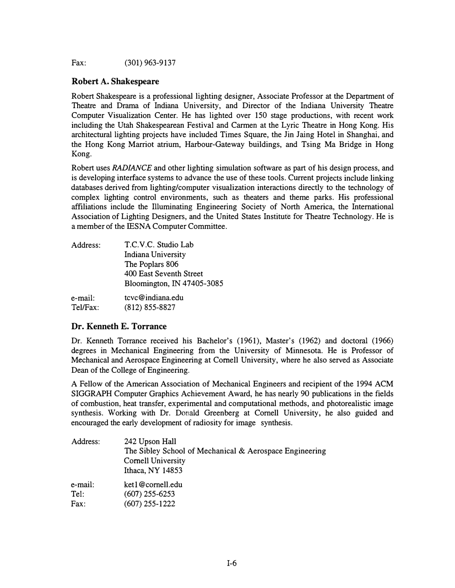Fax: (301) 963-9137

#### **Robert A. Shakespeare**

Robert Shakespeare is a professional lighting designer, Associate Professor at the Department of Theatre and Drama of Indiana University, and Director of the Indiana University Theatre Computer Visualization Center. He has lighted over 150 stage productions, with recent work including the Utah Shakespearean Festival and Carmen at the Lyric Theatre in Hong Kong. His architectural lighting projects have included Times Square, the Jin Jaing Hotel in Shanghai, and the Hong Kong Marriot atrium, Harbour-Gateway buildings, and Tsing Ma Bridge in Hong Kong.

Robert uses *RADIANCE* and other lighting simulation software as part of his design process, and is developing interface systems to advance the use of these tools. Current projects include linking databases derived from lighting/computer visualization interactions directly to the technology of complex lighting control environments, such as theaters and theme parks. His professional affiliations include the Illuminating Engineering Society of North America, the International Association of Lighting Designers, and the United States Institufe for Theatre Technology. He is a member of the IESNA Computer Committee.

| Address: | T.C.V.C. Studio Lab        |
|----------|----------------------------|
|          | Indiana University         |
|          | The Poplars 806            |
|          | 400 East Seventh Street    |
|          | Bloomington, IN 47405-3085 |
| e-mail:  | tcyc@indiana.edu           |
| Tel/Fax: | $(812)$ 855-8827           |

# **Dr. Kenneth E. Torrance**

Dr. Kenneth Torrance received his Bachelor's (1961), Master's (1962) and doctoral (1966) degrees in Mechanical Engineering from the University of Minnesota. He is Professor of Mechanical and Aerospace Engineering at Cornell University, where he also served as Associate Dean of the College of Engineering.

A Fellow of the American Association of Mechanical Engineers and recipient of the 1994 ACM SIGGRAPH Computer Graphics Achievement Award, he has nearly 90 publications in the fields of combustion, heat transfer, experimental and computational methods, and photorealistic image synthesis. Working with Dr. Donald Greenberg at Cornell University, he also guided and encouraged the early development of radiosity for image synthesis.

| Address: | 242 Upson Hall<br>The Sibley School of Mechanical & Aerospace Engineering<br>Cornell University<br>Ithaca, NY 14853 |
|----------|---------------------------------------------------------------------------------------------------------------------|
| e-mail:  | ket1@cornell.edu                                                                                                    |
| Tel:     | $(607)$ 255-6253                                                                                                    |
| Fax:     | $(607)$ 255-1222                                                                                                    |